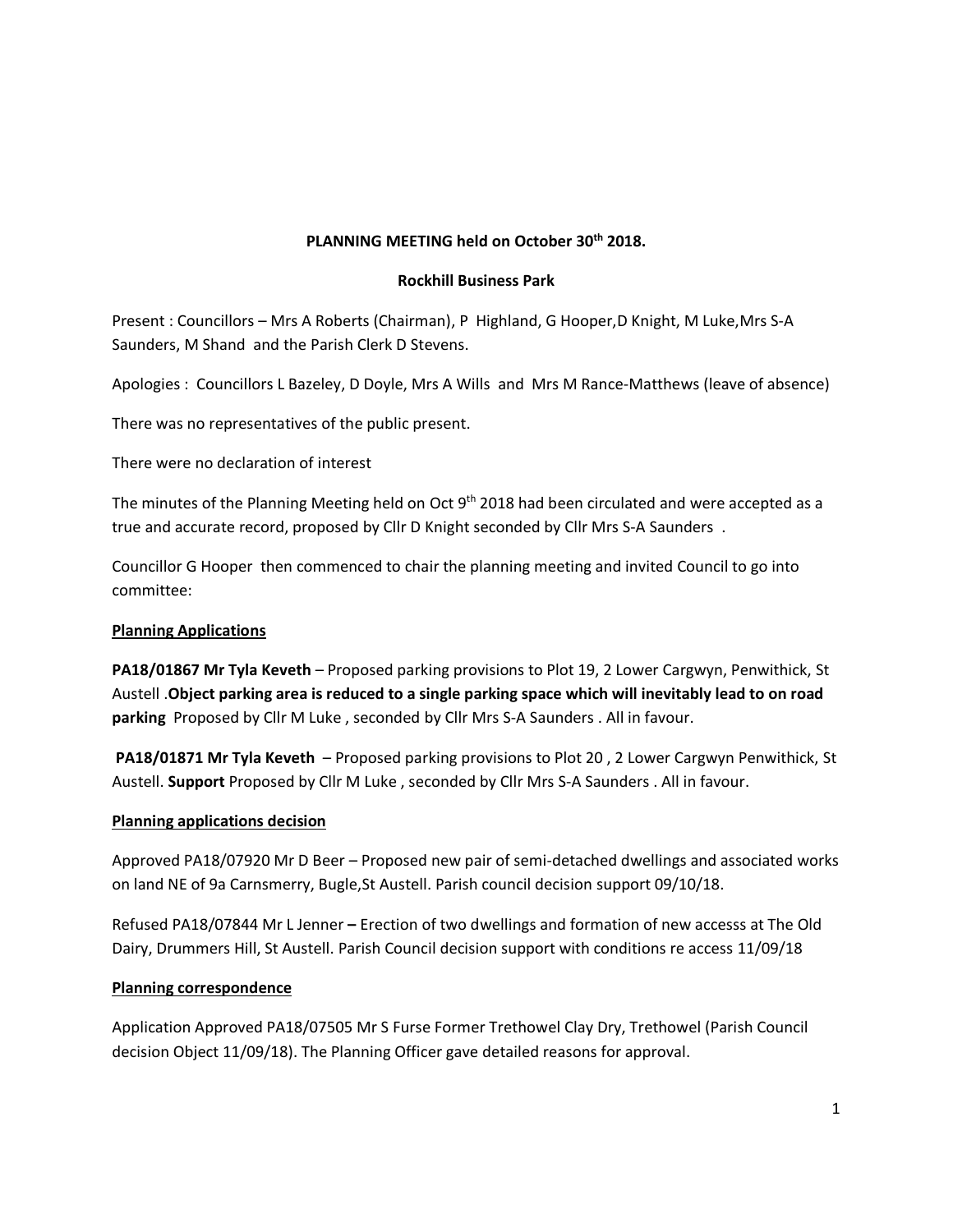# **PLANNING MEETING held on October 30th 2018.**

#### **Rockhill Business Park**

Present : Councillors – Mrs A Roberts (Chairman), P Highland, G Hooper,D Knight, M Luke,Mrs S-A Saunders, M Shand and the Parish Clerk D Stevens.

Apologies : Councillors L Bazeley, D Doyle, Mrs A Wills and Mrs M Rance-Matthews (leave of absence)

There was no representatives of the public present.

There were no declaration of interest

The minutes of the Planning Meeting held on Oct 9<sup>th</sup> 2018 had been circulated and were accepted as a true and accurate record, proposed by Cllr D Knight seconded by Cllr Mrs S-A Saunders .

Councillor G Hooper then commenced to chair the planning meeting and invited Council to go into committee:

#### **Planning Applications**

**PA18/01867 Mr Tyla Keveth** – Proposed parking provisions to Plot 19, 2 Lower Cargwyn, Penwithick, St Austell .**Object parking area is reduced to a single parking space which will inevitably lead to on road parking** Proposed by Cllr M Luke , seconded by Cllr Mrs S-A Saunders . All in favour.

**PA18/01871 Mr Tyla Keveth** – Proposed parking provisions to Plot 20 , 2 Lower Cargwyn Penwithick, St Austell. **Support** Proposed by Cllr M Luke , seconded by Cllr Mrs S-A Saunders . All in favour.

## **Planning applications decision**

Approved PA18/07920 Mr D Beer – Proposed new pair of semi-detached dwellings and associated works on land NE of 9a Carnsmerry, Bugle,St Austell. Parish council decision support 09/10/18.

Refused PA18/07844 Mr L Jenner **–** Erection of two dwellings and formation of new accesss at The Old Dairy, Drummers Hill, St Austell. Parish Council decision support with conditions re access 11/09/18

## **Planning correspondence**

Application Approved PA18/07505 Mr S Furse Former Trethowel Clay Dry, Trethowel (Parish Council decision Object 11/09/18). The Planning Officer gave detailed reasons for approval.